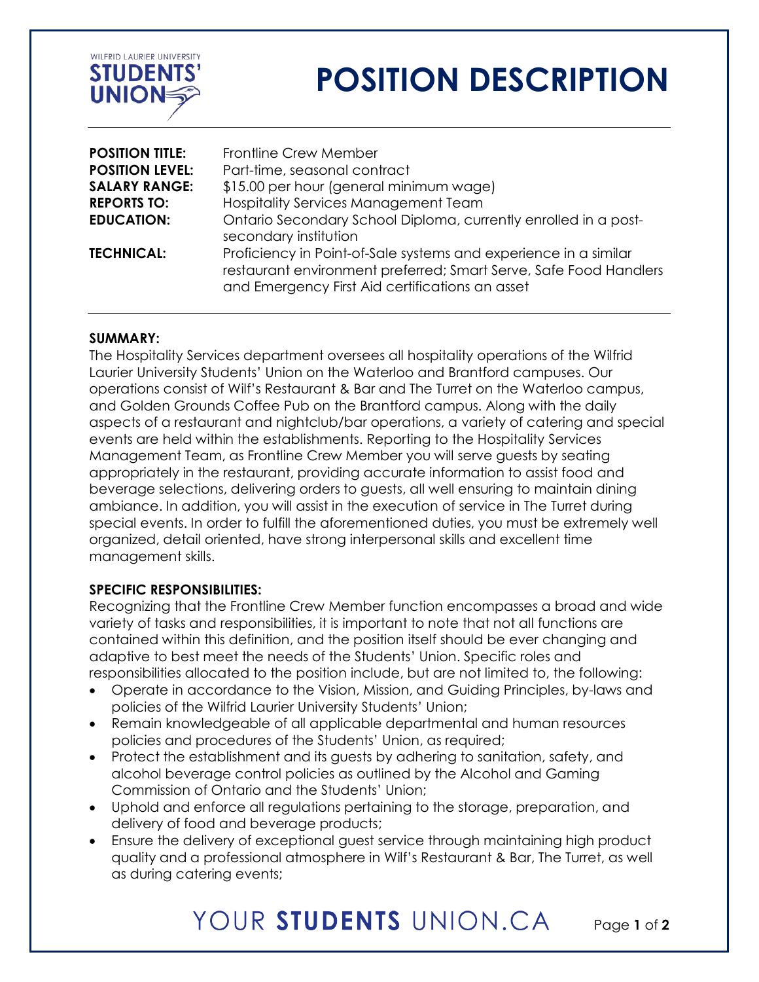

# **POSITION DESCRIPTION**

| <b>POSITION TITLE:</b> | Frontline Crew Member                                                                                                                                                                    |
|------------------------|------------------------------------------------------------------------------------------------------------------------------------------------------------------------------------------|
| <b>POSITION LEVEL:</b> | Part-time, seasonal contract                                                                                                                                                             |
| <b>SALARY RANGE:</b>   | \$15.00 per hour (general minimum wage)                                                                                                                                                  |
| <b>REPORTS TO:</b>     | <b>Hospitality Services Management Team</b>                                                                                                                                              |
| <b>EDUCATION:</b>      | Ontario Secondary School Diploma, currently enrolled in a post-<br>secondary institution                                                                                                 |
| <b>TECHNICAL:</b>      | Proficiency in Point-of-Sale systems and experience in a similar<br>restaurant environment preferred; Smart Serve, Safe Food Handlers<br>and Emergency First Aid certifications an asset |

#### **SUMMARY:**

The Hospitality Services department oversees all hospitality operations of the Wilfrid Laurier University Students' Union on the Waterloo and Brantford campuses. Our operations consist of Wilf's Restaurant & Bar and The Turret on the Waterloo campus, and Golden Grounds Coffee Pub on the Brantford campus. Along with the daily aspects of a restaurant and nightclub/bar operations, a variety of catering and special events are held within the establishments. Reporting to the Hospitality Services Management Team, as Frontline Crew Member you will serve guests by seating appropriately in the restaurant, providing accurate information to assist food and beverage selections, delivering orders to guests, all well ensuring to maintain dining ambiance. In addition, you will assist in the execution of service in The Turret during special events. In order to fulfill the aforementioned duties, you must be extremely well organized, detail oriented, have strong interpersonal skills and excellent time management skills.

#### **SPECIFIC RESPONSIBILITIES:**

Recognizing that the Frontline Crew Member function encompasses a broad and wide variety of tasks and responsibilities, it is important to note that not all functions are contained within this definition, and the position itself should be ever changing and adaptive to best meet the needs of the Students' Union. Specific roles and responsibilities allocated to the position include, but are not limited to, the following:

- Operate in accordance to the Vision, Mission, and Guiding Principles, by-laws and policies of the Wilfrid Laurier University Students' Union;
- Remain knowledgeable of all applicable departmental and human resources policies and procedures of the Students' Union, as required;
- Protect the establishment and its guests by adhering to sanitation, safety, and alcohol beverage control policies as outlined by the Alcohol and Gaming Commission of Ontario and the Students' Union;
- Uphold and enforce all regulations pertaining to the storage, preparation, and delivery of food and beverage products;
- Ensure the delivery of exceptional guest service through maintaining high product quality and a professional atmosphere in Wilf's Restaurant & Bar, The Turret, as well as during catering events;

## YOUR STUDENTS UNION CA